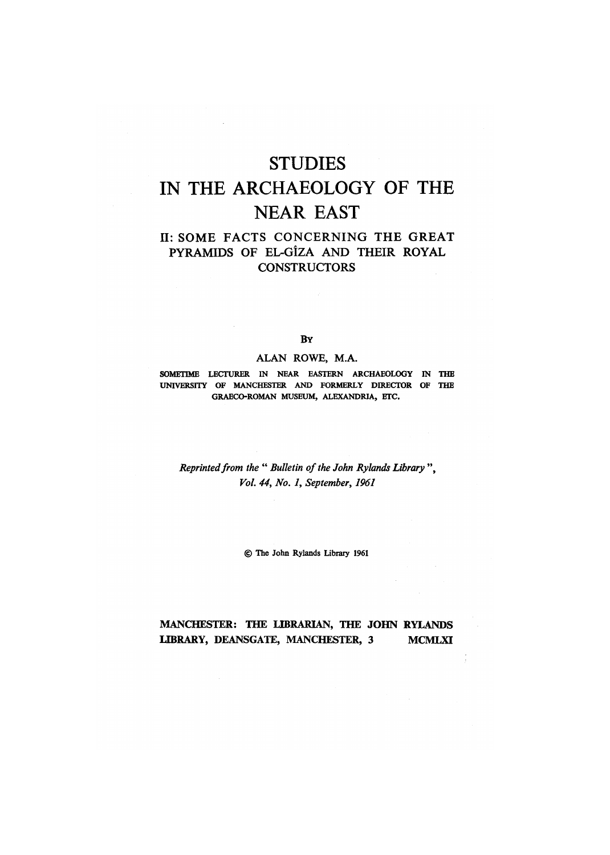# STUDIES IN THE ARCHAEOLOGY OF THE NEAR EAST

# **II: SOME FACTS CONCERNING THE GREAT** PYRAMIDS OF EL-GIZA AND THEIR ROYAL **CONSTRUCTORS**

#### **BY**

### **ALAN ROWE, MA.**

**SOMETIME LECTURER IN NEAR EASTERN ARCHAEOLOGY IN THE UNIVERSITY OF MANCHESTER AND FORMERLY DIRECTOR OF THE GRAECO-ROMAN MUSEUM, ALEXANDRIA, ETC.** 

*Reprinted from the " Bulletin of the John Rylands Library ", Vol. 44, No. 1, September, 1961* 

*©* **The John Rylands Library 1961** 

## **MANCHESTER: THE LIBRARIAN, THE JOHN RYLANDS LIBRARY, DEANSGATE, MANCHESTER, 3 MCMLXI**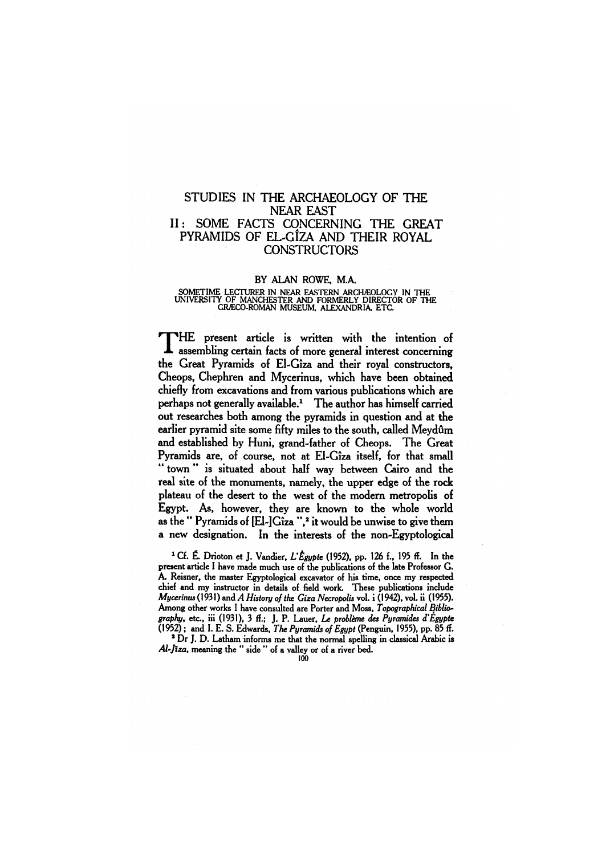## STUDIES IN THE ARCHAEOLOGY OF THE NEAR EAST II: SOME FACTS CONCERNING THE GREAT PYRAMIDS OF EL-GîZA AND THEIR ROYAL **CONSTRUCTORS**

#### BY ALAN ROWE, MA

**SOMETIME LECTURER IN NEAR EASTERN ARCHAEOLOGY IN THE UNIVERSITY OF MANCHESTER AND FORMERLY DIRECTOR OF THE GRECO-ROMAN MUSEUM ALEXANDRIA, ETC.** 

T HE present article is written with the intention of assembling certain facts of more general interest concerning the Great Pyramids of El-Giza and their royal constructors, Cheops, Chephren and Mycerinus, which have been obtained chiefly from excavations and from various publications which are perhaps not generally available.<sup>1</sup> The author has himself carried out researches both among the pyramids in question and at the earlier pyramid site some fifty miles to the south, called Meydûm and established by Huni, grand-father of Cheops. The Great Pyramids are, of course, not at El-Giza itself, for that small " town " is situated about half way between Cairo and the real site of the monuments, namely, the upper edge of the rock plateau of the desert to the west of the modern metropolis of Egypt. As, however, they are known to the whole world as the " Pyramids of [El-]Giza ",\* it would be unwise to give them a new designation. In the interests of the non-Egyptological

**1 Cf. É. Drioton et J. Vandier,** *L'Égypte* **(1952), pp. 126 f., 195 ff. In the present article I have made much use of the publications of the late Professor G. A. Reisner, the master Egyptological excavator of his time, once my respected chief and my instructor in details of field work. These publications include**  *Mycerinus* **(1931) and** *A History of the Giza Necropolis* **vol. i (1942), vol. ii (1955). Among other works I have consulted are Porter and Moss,** *Topographical Biblio*graphy, etc., iii (1931), 3 ff.; J. P. Lauer, *Le problème des Pyramides d'Égypte* **(1952); and I. E. S. Edwards,** *The Pyramids of Egypt* **(Penguin, 1955), pp. 85 ff. ² Dr J. D. Latham informs me that the normal spelling in classical Arabic is** 

*Al-Jiza,* **meaning the " side " of a valley or of a river bed.**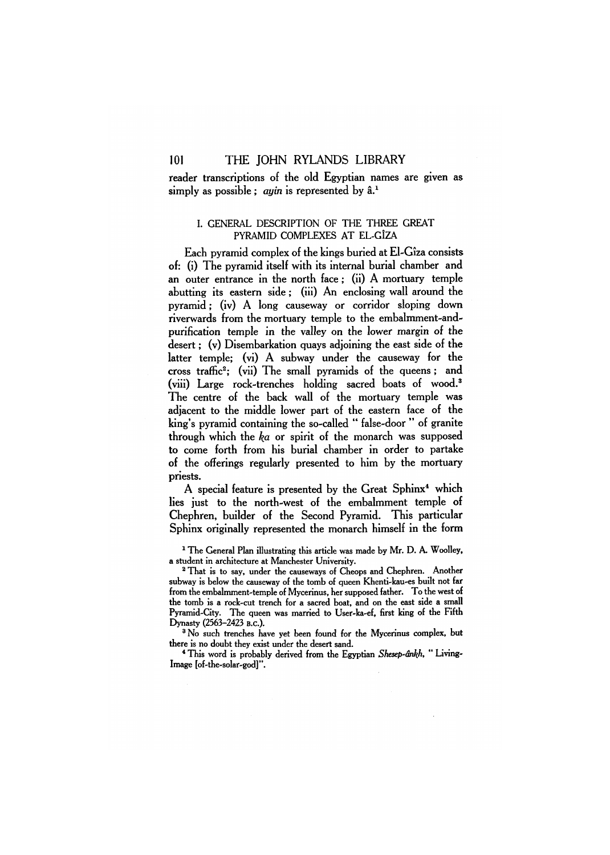reader transcriptions of the old Egyptian names are given as simply as possible: *auin* is represented by  $\hat{a}^1$ .

## I. GENERAL DESCRIPTION OF THE THREE GREAT PYRAMID COMPLEXES AT EL-GIZA

Each pyramid complex of the kings buried at El-Giza consists of: (i) The pyramid itself with its internal burial chamber and an outer entrance in the north face; (ii) A mortuary temple abutting its eastern side; (iii) An enclosing wall around the pyramid; (iv) A long causeway or corridor sloping down riverwards from the mortuary temple to the embalmment-andpurification temple in the valley on the lower margin of the desert; (v) Disembarkation quays adjoining the east side of the latter temple; (vi) A subway under the causeway for the cross traffic<sup>2</sup>; (vii) The small pyramids of the queens; and (viii) Large rock-trenches holding sacred boats of wood.<sup>3</sup> The centre of the back wall of the mortuary temple was adjacent to the middle lower part of the eastern face of the king's pyramid containing the so-called " false-door " of granite through which the  $ka$  or spirit of the monarch was supposed to come forth from his burial chamber in order to partake of the offerings regularly presented to him by the mortuary priests.

A special feature is presented by the Great Sphinx<sup>4</sup> which lies just to the north-west of the embalmment temple of Chephren, builder of the Second Pyramid. This particular Sphinx originally represented the monarch himself in the form

<sup>1</sup> The General Plan illustrating this article was made by Mr. D. A. Woolley, a student in architecture at Manchester University.

<sup>2</sup> That is to say, under the causeways of Cheops and Chephren. Another subway is below the causeway of the tomb of queen Khenti-kau-es built not far from the embalmment-temple of Mycerinus, her supposed father. To the west of the tomb is a rock-cut trench for a sacred boat, and on the east side a small Pyramid-City. The queen was married to User-ka-ef, first king of the Fifth Dynasty (2563-2423 B.C).

<sup>3</sup> No such trenches have yet been found for the Mycerinus complex, but there is no doubt they exist under the desert sand.

4 This word is probably derived from the Egyptian *Shesep-ankh, "* Living-Image [of-the-solar-god]".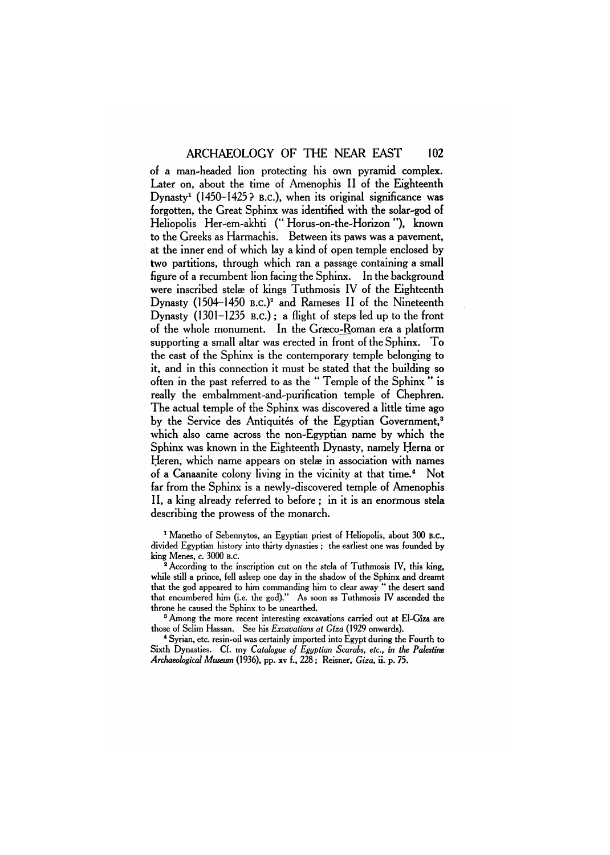of a man-headed lion protecting his own pyramid complex. Later on, about the time of Amenophis II of the Eighteenth Dynasty<sup>1</sup> (1450-1425? B.C.), when its original significance was forgotten, the Great Sphinx was identified with the solar-god of Heliopolis Her-em-akhti (" Horus-on-the-Horizon "), known to the Greeks as Harmachis. Between its paws was a pavement, at the inner end of which lay a kind of open temple enclosed by two partitions, through which ran a passage containing a small figure of a recumbent lion facing the Sphinx. In the background were inscribed stelæ of kings Tuthmosis IV of the Eighteenth Dynasty (1504–1450 B.c.)<sup>2</sup> and Rameses II of the Nineteenth Dynasty (1301-1235 B.C.) ; a flight of steps led up to the front of the whole monument. In the Graeco-Roman era a platform supporting a small altar was erected in front of the Sphinx. To the east of the Sphinx is the contemporary temple belonging to it, and in this connection it must be stated that the building so often in the past referred to as the " Temple of the Sphinx " is really the embalmment-and-purification temple of Chephren. The actual temple of the Sphinx was discovered a little time ago by the Service des Antiquités of the Egyptian Government,<sup>3</sup> which also came across the non-Egyptian name by which the Sphinx was known in the Eighteenth Dynasty, namely Herna or Heren, which name appears on stelæ in association with names of a Canaanite colony living in the vicinity at that time.<sup>4</sup> Not far from the Sphinx is a newly-discovered temple of Amenophis II, a king already referred to before ; in it is an enormous stela describing the prowess of the monarch.

1 Manetho of Sebennytos, an Egyptian priest of Heliopolis, about 300 B.C., divided Egyptian history into thirty dynasties ; the earliest one was founded by king Menes, c. 3000 B.C.

² According to the inscription cut on the stela of Tuthmosis IV, this king, while still a prince, fell asleep one day in the shadow of the Sphinx and dreamt that the god appeared to him commanding him to clear away " the desert sand that encumbered him (i.e. the god)." As soon as Tuthmosis IV ascended the throne he caused the Sphinx to be unearthed.

<sup>3</sup> Among the more recent interesting excavations carried out at El-Gîza are those of Selim Hassan. See his *Excavations at Giza* (1929 onwards).

<sup>4</sup> Syrian, etc. resin-oil was certainly imported into Egypt during the Fourth to Sixth Dynasties. Cf. my *Catalogue of Egyptian Scarabs, etc., in the Palestine Archaeological Museum* (1936), pp. xv f., 228; Reisner, *Giza,* ii. p. 75.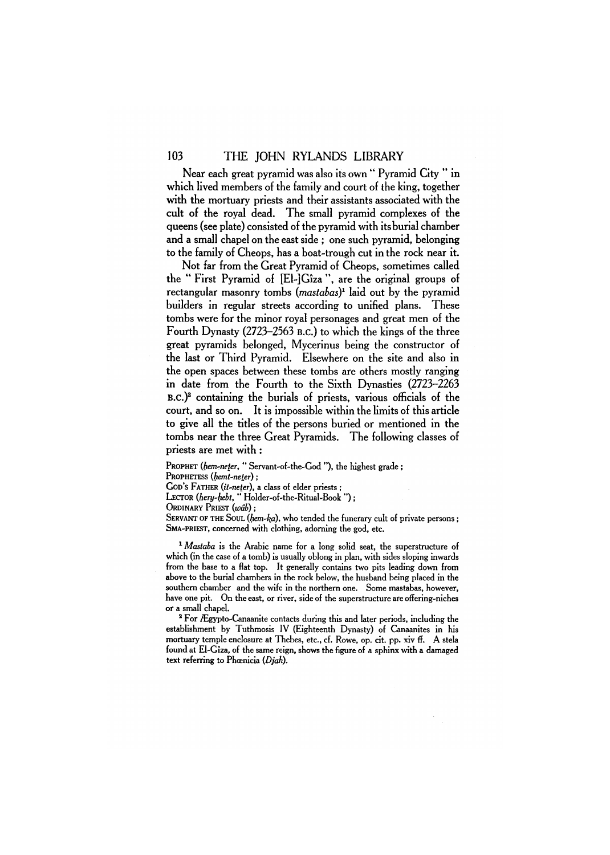Near each great pyramid was also its own " Pyramid City " in which lived members of the family and court of the king, together with the mortuary priests and their assistants associated with the cult of the royal dead. The small pyramid complexes of the queens (see plate) consisted of the pyramid with its burial chamber and a small chapel on the east side ; one such pyramid, belonging to the family of Cheops, has a boat-trough cut in the rock near it.

Not far from the Great Pyramid of Cheops, sometimes called the " First Pyramid of [El-]Giza ", are the original groups of rectangular masonry tombs *(mastabas)<sup>1</sup>* laid out by the pyramid builders in regular streets according to unified plans. These tombs were for the minor royal personages and great men of the Fourth Dynasty (2723-2563 B.C.) to which the kings of the three great pyramids belonged, Mycerinus being the constructor of the last or Third Pyramid. Elsewhere on the site and also in the open spaces between these tombs are others mostly ranging in date from the Fourth to the Sixth Dynasties (2723-2263 B.C.)<sup>2</sup> containing the burials of priests, various officials of the court, and so on. It is impossible within the limits of this article to give all the titles of the persons buried or mentioned in the tombs near the three Great Pyramids. The following classes of priests are met with :

PROPHET *(hem-neter, "* Servant-of-the-God "), the highest grade ;

PROPHETESS *(hemt-neter);* 

GOD'S FATHER *(it-neter),* a class of elder priests ;

LECTOR *(hery-hebt,* " Holder-of-the-Ritual-Book ") ;

ORDINARY PRIEST *(wab);* 

SERVANT OF THE SOUL (hem-ka), who tended the funerary cult of private persons: SMA -PRIEST, concerned with clothing, adorning the god, etc.

<sup>1</sup> Mastaba is the Arabic name for a long solid seat, the superstructure of which (in the case of a tomb) is usually oblong in plan, with sides sloping inwards from the base to a flat top. It generally contains two pits leading down from above to the burial chambers in the rock below, the husband being placed in the southern chamber and the wife in the northern one. Some mastabas, however, have one pit. On the east, or river, side of the superstructure are offering-niches or a small chapel.

<sup>2</sup> For Ægypto-Canaanite contacts during this and later periods, including the establishment by Tuthmosis IV (Eighteenth Dynasty) of Canaanites in his mortuary temple enclosure at Thebes, etc., cf. Rowe, op. cit. pp. xiv ff. A stela found at El-Giza, of the same reign, shows the figure of a sphinx with a damaged text referring to Phoenicia *(Djah).*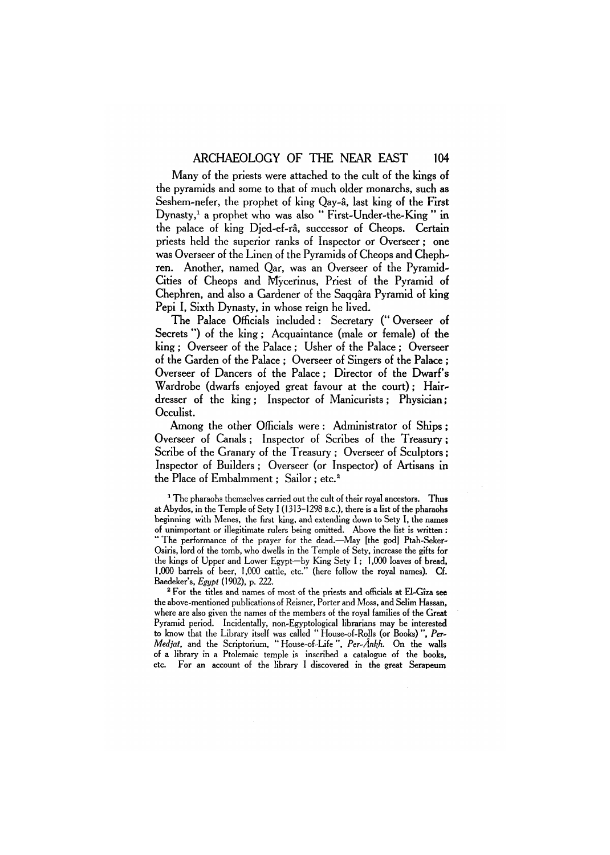Many of the priests were attached to the cult of the kings of the pyramids and some to that of much older monarchs, such as Seshem-nefer, the prophet of king Qay-â, last king of the First Dynasty,<sup>1</sup> a prophet who was also " First-Under-the-King " in the palace of king Djed-ef-ra, successor of Cheops. Certain priests held the superior ranks of Inspector or Overseer; one was Overseer of the Linen of the Pyramids of Cheops and Chephren. Another, named Qar, was an Overseer of the Pyramid-Cities of Cheops and Mycerinus, Priest of the Pyramid of Chephren, and also a Gardener of the Saggara Pyramid of king Pepi I, Sixth Dynasty, in whose reign he lived.

The Palace Officials included : Secretary (" Overseer of Secrets ") of the king: Acquaintance (male or female) of the king ; Overseer of the Palace ; Usher of the Palace ; Overseer of the Garden of the Palace ; Overseer of Singers of the Palace ; Overseer of Dancers of the Palace; Director of the Dwarf's Wardrobe (dwarfs enjoyed great favour at the court); Hairdresser of the king ; Inspector of Manicurists ; Physician; Occulist.

Among the other Officials were: Administrator of Ships: Overseer of Canals ; Inspector of Scribes of the Treasury; Scribe of the Granary of the Treasury ; Overseer of Sculptors; Inspector of Builders; Overseer (or Inspector) of Artisans in the Place of Embalmment: Sailor: etc.<sup>2</sup>

<sup>1</sup> The pharaohs themselves carried out the cult of their royal ancestors. Thus at Abydos, in the Temple of Sety I (1313-1298 B.C.), there is a list of the pharaohs beginning with Menes, the first king, and extending down to Sety I, the names of unimportant or illegitimate rulers being omitted. Above the list is written : " The performance of the prayer for the dead.—May [the god] Ptah-Seker-Osiris, lord of the tomb, who dwells in the Temple of Sety, increase the gifts for the kings of Upper and Lower Egypt—by King Sety I; 1,000 loaves of bread, 1,000 barrels of beer, 1,000 cattle, etc." (here follow the royal names). Cf. Baedeker's, *Egypt* (1902), p. 222.

2 For the titles and names of most of the priests and officials at El-Giza see the above-mentioned publications of Reisner, Porter and Moss, and Selim Hassan, where are also given the names of the members of the royal families of the Great Pyramid period. Incidentally, non-Egyptological librarians may be interested to know that the Library itself was called " House-of-Rolls (or Books) ", *Per-Medjat,* and the Scriptorium, " House-of-Life ", *Per-Ankh.* On the walls of a library in a Ptolemaic temple is inscribed a catalogue of the books, etc. For an account of the library I discovered in the great Serapeum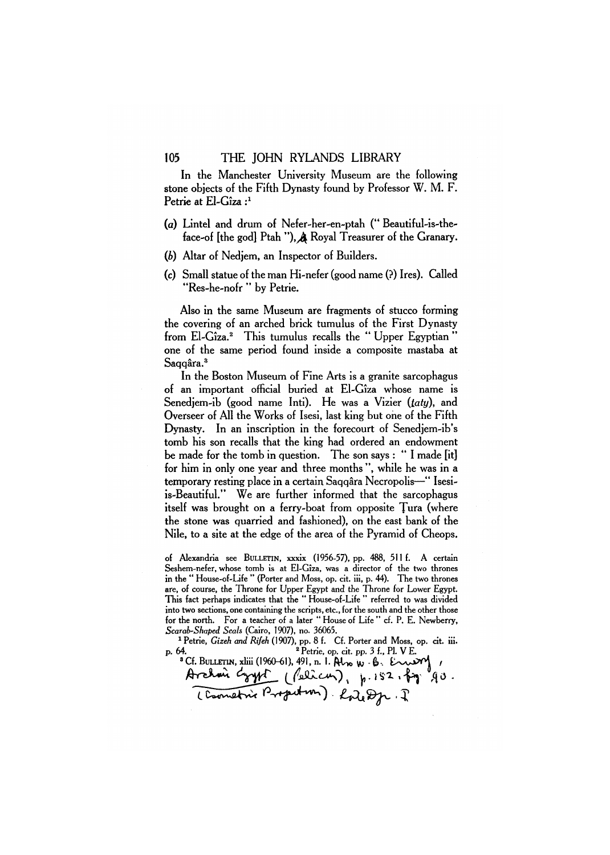In the Manchester University Museum are the following stone objects of the Fifth Dynasty found by Professor W. M. F. Petrie at El-Giza :*<sup>1</sup>*

- (a) Lintel and drum of Nefer-her-en-ptah (" Beautiful-is-theface-of [the god] Ptah "), A Royal Treasurer of the Granary.
- *(b)* Altar of Nedjem, an Inspector of Builders.
- (c) Small statue of the man Hi-nefer (good name (?) Ires). Called "Res-he-nofr " by Petrie.

Also in the same Museum are fragments of stucco forming the covering of an arched brick tumulus of the First Dynasty from El-Giza.<sup>2</sup> This tumulus recalls the " Upper Egyptian " one of the same period found inside a composite mastaba at Saqqâra.<sup>3</sup>

In the Boston Museum of Fine Arts is a granite sarcophagus of an important official buried at El-Giza whose name is Senedjem-ib (good name Inti). He was a Vizier *(taty),* and Overseer of All the Works of Isesi, last king but one of the Fifth Dynasty. In an inscription in the forecourt of Senedjem-ib's tomb his son recalls that the king had ordered an endowment be made for the tomb in question. The son says : " I made [it] for him in only one year and three months ", while he was in a temporary resting place in a certain Saqqara Necropolis—" Isesiis-Beautiful." We are further informed that the sarcophagus itself was brought on a ferry-boat from opposite Tura (where the stone was quarried and fashioned), on the east bank of the Nile, to a site at the edge of the area of the Pyramid of Cheops.

of Alexandria see BULLETIN, xxxix (1956-57), pp. 488, 511 f. A certain Seshem-nefer, whose tomb is at El-Giza, was a director of the two thrones in the " House-of-Life " (Porter and Moss, op. cit. iii, p. 44). The two thrones are, of course, the Throne for Upper Egypt and the Throne for Lower Egypt. This fact perhaps indicates that the " House-of-Life " referred to was divided into two sections, one containing the scripts, etc., for the south and the other those for the north. For a teacher of a later " House of Life " cf. P. E. Newberry, *Scarab-Shaped Seals* (Cairo, 1907), no. 36065.

<sup>1</sup> Petrie, *Gizeh and Rifeh* (1907), pp. 8 f. Cf. Porter and Moss, op. cit. iii. p. 64. Petrie, op. cit. pp. 3 f., Pl. VE.<br>
"Cf. BULLETIN, xliii (1960-61), 491, n. 1. Also W. B. Enway, <sup>2</sup> Petrie, op. cit. pp. 3 f., Pl. V E.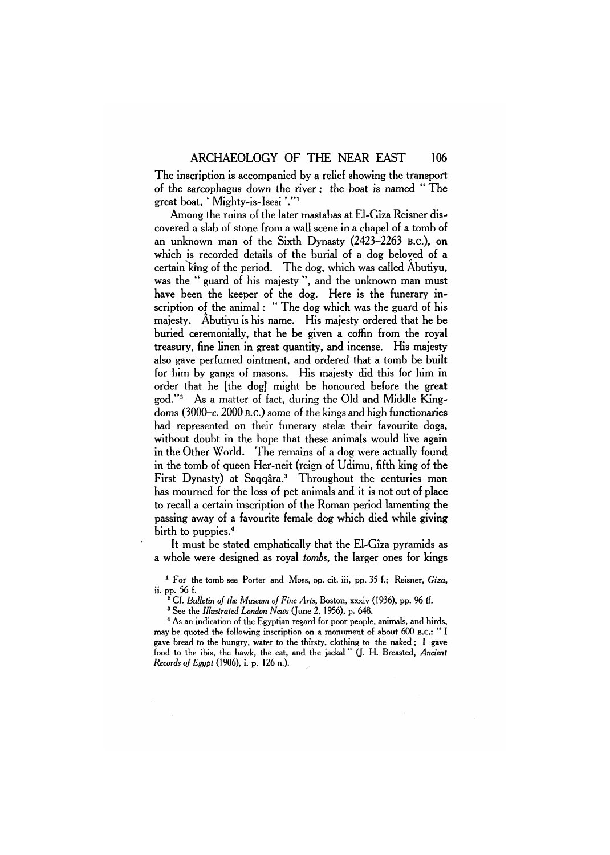The inscription is accompanied by a relief showing the transport of the sarcophagus down the river; the boat is named " The great boat, ' Mighty-is-Isesi '."<sup>1</sup>

Among the ruins of the later mastabas at El-Giza Reisner discovered a slab of stone from a wall scene in a chapel of a tomb of an unknown man of the Sixth Dynasty (2423-2263 B.C.), on which is recorded details of the burial of a dog beloved of a certain king of the period. The dog, which was called Abutiyu, was the " guard of his majesty ", and the unknown man must have been the keeper of the dog. Here is the funerary inscription of the animal: " The dog which was the guard of his majesty. Abutiyu is his name. His majesty ordered that he be buried ceremonially, that he be given a coffin from the royal treasury, fine linen in great quantity, and incense. His majesty also gave perfumed ointment, and ordered that a tomb be built for him by gangs of masons. His majesty did this for him in order that he [the dog] might be honoured before the great god."<sup>2</sup> As a matter of fact, during the Old and Middle Kingdoms (3000-c. 2000 B.C.) some of the kings and high functionaries had represented on their funerary stelæ their favourite dogs, without doubt in the hope that these animals would live again in the Other World. The remains of a dog were actually found in the tomb of queen Her-neit (reign of Udimu, fifth king of the First Dynasty) at Saggâra.<sup>3</sup> Throughout the centuries man has mourned for the loss of pet animals and it is not out of place to recall a certain inscription of the Roman period lamenting the passing away of a favourite female dog which died while giving birth to puppies.<sup>4</sup>

It must be stated emphatically that the El-Giza pyramids as a whole were designed as royal *tombs,* the larger ones for kings

1 For the tomb see Porter and Moss, op. cit. iii, pp. 35 f.; Reisner, *Giza,*  ii. pp. 56 f.

2 Cf. *Bulletin of the Museum of Fine Arts,* Boston, xxxiv (1936), pp. 96 ff.

3 See the *Illustrated London News* (June 2, 1956), p. 648.

<sup>4</sup> As an indication of the Egyptian regard for poor people, animals, and birds, may be quoted the following inscription on a monument of about 600 B.C.: " I gave bread to the hungry, water to the thirsty, clothing to the naked; I gave food to the ibis, the hawk, the cat, and the jackal " (J. H. Breasted, *Ancient Records of Egypt* (1906), i. p. 126 n.).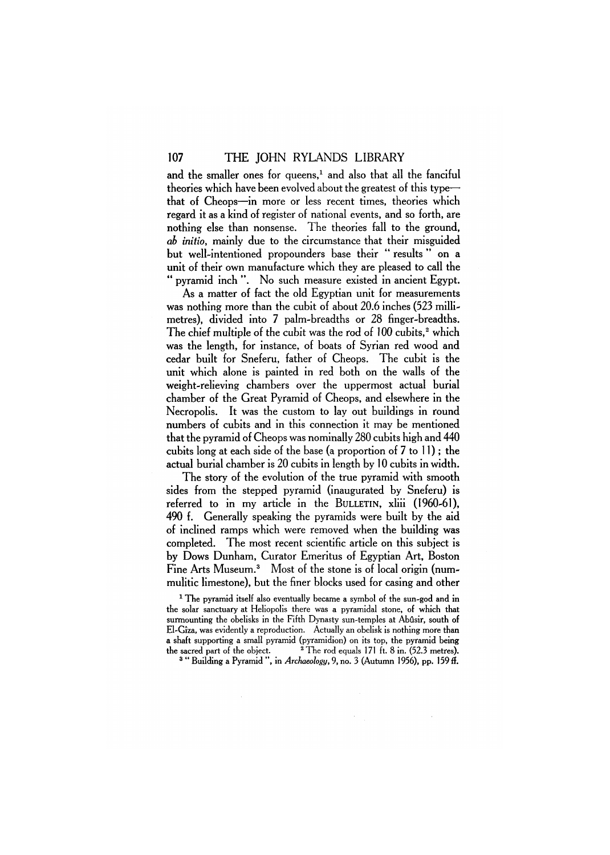and the smaller ones for queens,<sup>1</sup> and also that all the fanciful theories which have been evolved about the greatest of this type that of Cheops—in more or less recent times, theories which regard it as a kind of register of national events, and so forth, are nothing else than nonsense. The theories fall to the ground, *ab initio,* mainly due to the circumstance that their misguided but well-intentioned propounders base their " results " on a unit of their own manufacture which they are pleased to call the " pyramid inch ". No such measure existed in ancient Egypt.

As a matter of fact the old Egyptian unit for measurements was nothing more than the cubit of about 20.6 inches (523 millimetres), divided into 7 palm-breadths or 28 finger-breadths. The chief multiple of the cubit was the rod of 100 cubits,<sup>2</sup> which was the length, for instance, of boats of Syrian red wood and cedar built for Sneferu, father of Cheops. The cubit is the unit which alone is painted in red both on the walls of the weight-relieving chambers over the uppermost actual burial chamber of the Great Pyramid of Cheops, and elsewhere in the Necropolis. It was the custom to lay out buildings in round numbers of cubits and in this connection it may be mentioned that the pyramid of Cheops was nominally 280 cubits high and 440 cubits long at each side of the base (a proportion of 7 to 11); the actual burial chamber is 20 cubits in length by 10 cubits in width.

The story of the evolution of the true pyramid with smooth sides from the stepped pyramid (inaugurated by Sneferu) is referred to in my article in the BULLETIN, xliii (1960-61), 490 f. Generally speaking the pyramids were built by the aid of inclined ramps which were removed when the building was completed. The most recent scientific article on this subject is by Dows Dunham, Curator Emeritus of Egyptian Art, Boston Fine Arts Museum.<sup>3</sup> Most of the stone is of local origin (nummulitic limestone), but the finer blocks used for casing and other

<sup>1</sup> The pyramid itself also eventually became a symbol of the sun-god and in the solar sanctuary at Heliopolis there was a pyramidal stone, of which that surmounting the obelisks in the Fifth Dynasty sun-temples at Abûsir, south of El-Giza, was evidently a reproduction. Actually an obelisk is nothing more than a shaft supporting a small pyramid (pyramidion) on its top, the pyramid being the sacred part of the object.  $2$  The rod equals 171 ft. 8 in.  $(52.3 \text{ metres})$ .

3 " Building a Pyramid ", in *Archaeology,* 9, no. 3 (Autumn 1956), pp. 159 ff.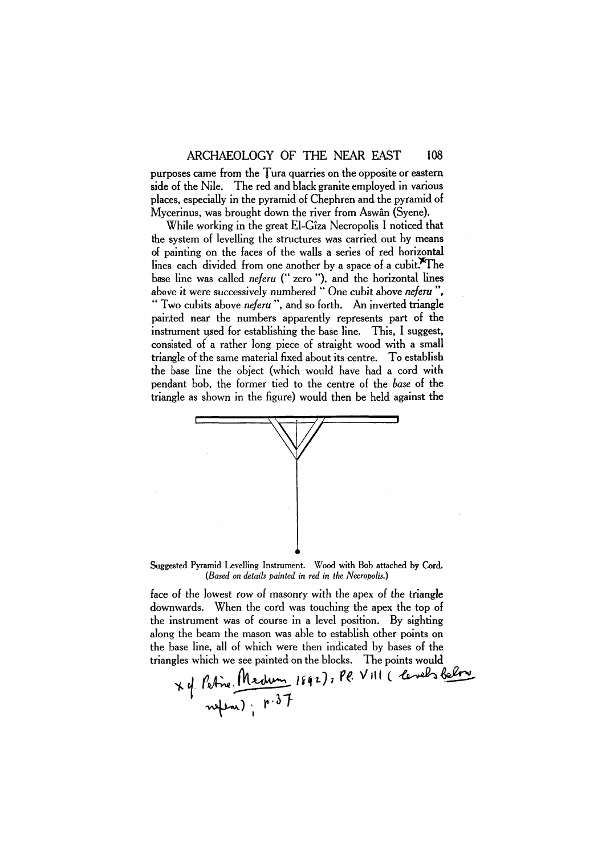purposes came from the Tura quarries on the opposite or eastern side of the Nile. The red and black granite employed in various places, especially in the pyramid of Chephren and the pyramid of Mycerinus, was brought down the river from Aswan (Syene).

While working in the great El-Giza Necropolis I noticed that the system of levelling the structures was carried out by means of painting on the faces of the walls a series of red horizontal lines each divided from one another by a space of a cubit.<sup>X\*</sup>The base line was called *neferu* (" zero "), and the horizontal lines above it were successively numbered " One cubit above *neferu ",*  " Two cubits above *neferu* ", and so forth. An inverted triangle painted near the numbers apparently represents part of the instrument used for establishing the base line. This, I suggest, consisted of a rather long piece of straight wood with a small triangle of the same material fixed about its centre. To establish the base line the object (which would have had a cord with pendant bob, the former tied to the centre of the *base* of the triangle as shown in the figure) would then be held against the



Suggested Pyramid Levelling Instrument. Wood **with** Bob attached by **Cord.**  *(Based on details painted in red in the Necropolis.)* 

face of the lowest row of masonry with the apex of the triangle downwards. When the cord was touching the apex the top of the instrument was of course in a level position. By sighting along the beam the mason was able to establish other points on triangles which we see painted on the blocks. The points would

the base line, all of which were then indicated by bases of the<br>triangles which we see painted on the blocks. The points would<br> $x d$  febre. Medium  $1892$ ,  $PQ V11 (20005 \& PV$ <br>when):  $P \cdot 37$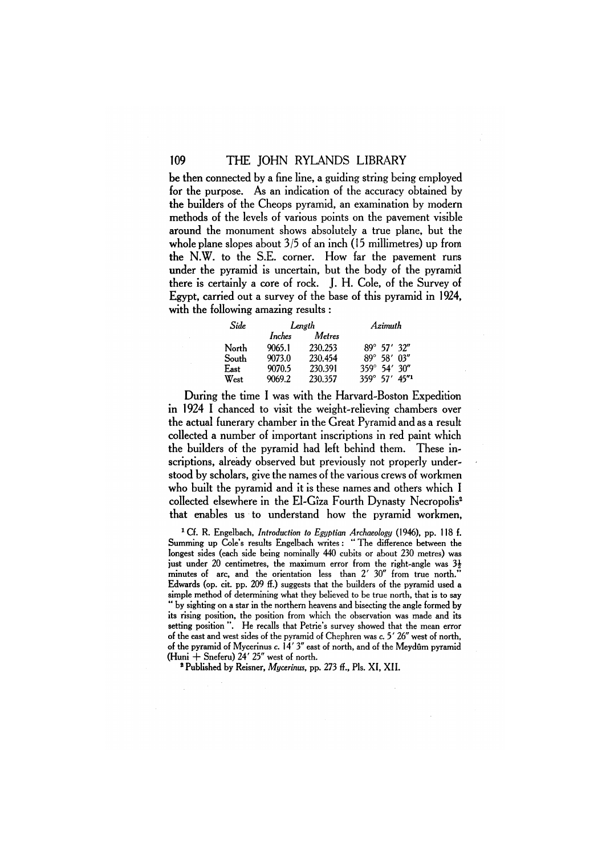be then connected by a fine line, a guiding string being employed for the purpose. As an indication of the accuracy obtained by the builders of the Cheops pyramid, an examination by modern methods of the levels of various points on the pavement visible around the monument shows absolutely a true plane, but the whole plane slopes about 3/5 of an inch (15 millimetres) up from the N.W. to the S.E. corner. How far the pavement runs under the pyramid is uncertain, but the body of the pyramid there is certainly a core of rock. J. H. Cole, of the Survey of Egypt, carried out a survey of the base of this pyramid in 1924, with the following amazing results :

| Side  | Length |               | Azimuth                                |                      |  |
|-------|--------|---------------|----------------------------------------|----------------------|--|
|       | Inches | <b>Metres</b> |                                        |                      |  |
| North | 9065.1 | 230.253       |                                        | $89^{\circ}$ 57' 32" |  |
| South | 9073.0 | 230.454       |                                        | $89^{\circ}$ 58' 03" |  |
| East  | 9070.5 | 230.391       | $359^{\circ}$ 54' 30"                  |                      |  |
| West  | 9069.2 | 230.357       | $359^{\circ}$ 57' $45^{\prime\prime}1$ |                      |  |

During the time I was with the Harvard-Boston Expedition in 1924 I chanced to visit the weight-relieving chambers over the actual funerary chamber in the Great Pyramid and as a result collected a number of important inscriptions in red paint which the builders of the pyramid had left behind them. These inscriptions, already observed but previously not properly understood by scholars, give the names of the various crews of workmen who built the pyramid and it is these names and others which I collected elsewhere in the El-Giza Fourth Dynasty Necropolis<sup>2</sup> that enables us to understand how the pyramid workmen,

<sup>1</sup>Cf. R. Engelbach, *Introduction to Egyptian Archaeology* (1946), pp. 118 f. Summing up Cole's results Engelbach writes : " The difference between the longest sides (each side being nominally 440 cubits or about 230 metres) was just under 20 centimetres, the maximum error from the right-angle was  $3\frac{1}{2}$ minutes of arc, and the orientation less than 2' 30" from true north." Edwards (op. cit. pp. 209 ff.) suggests that the builders of the pyramid used a simple method of determining what they believed to be true north, that is to say " by sighting on a star in the northern heavens and bisecting the angle formed by its rising position, the position from which the observation was made and its setting position ". He recalls that Petrie's survey showed that the mean error of the east and west sides of the pyramid of Chephren was c. 5' 26" west of north, of the pyramid of Mycerinus c. 14' 3" east of north, and of the Meydûm pyramid (Huni  $+$  Sneferu) 24' 25" west of north.

² Published by Reisner, *Mycerinus,* pp. 273 ff., Pls. XI, XII.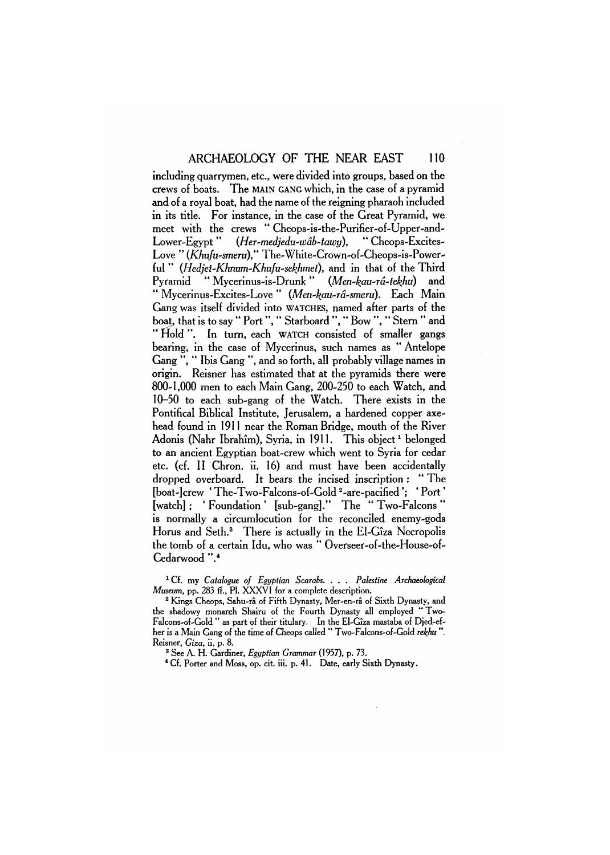including quarrymen, etc., were divided into groups, based on the crews of boats. The MAIN GANG which, in the case of a pyramid and of a royal boat, had the name of the reigning pharaoh included in its title. For instance, in the case of the Great Pyramid, we meet with the crews " Cheops-is-the-Purifier-of-Upper-and-Lower-Egypt" *(Her~medjedu-wab-tawy),* " Cheops-Excites-Love " *(Khufu-smeru),"* The-White-Crown-of-Cheops-is-Powerful " *(Hedjet-Khnum-Khufu-sekhmet),* and in that of the Third Pyramid " Mycerinus-is-Drunk" *(Men~kau~ra-tekhu)* and " Mycerinus-Excites-Love " *(Men-kau~ra~smeru).* Each Main Gang was itself divided into WATCHES, named after parts of the boat, that is to say " Port", " Starboard ", " Bow ", " Stern " and "Hold". In turn, each WATCH consisted of smaller gangs bearing, in the case of Mycerinus, such names as " Antelope Gang ", " Ibis Gang ", and so forth, all probably village names in origin. Reisner has estimated that at the pyramids there were 800-1,000 men to each Main Gang, 200-250 to each Watch, and 10-50 to each sub-gang of the Watch. There exists in the Pontifical Biblical Institute, Jerusalem, a hardened copper axehead found in 1911 near the Roman Bridge, mouth of the River Adonis (Nahr Ibrahîm), Svria, in 1911. This object<sup>1</sup> belonged to an ancient Egyptian boat-crew which went to Syria for cedar etc. (cf. II Chron. ii. 16) and must have been accidentally dropped overboard. It bears the incised inscription : "The [boat-]crew 'The-Two-Falcons-of-Gold<sup>2</sup>-are-pacified': 'Port' [watch] ; ' Foundation ' [sub-gang]." The " Two-Falcons " is normally a circumlocution for the reconciled enemy-gods Horus and Seth.<sup>3</sup> There is actually in the El-Giza Necropolis the tomb of a certain Idu, who was " Overseer-of-the-House-of-Cedarwood ".<sup>4</sup>

1 Cf. my *Catalogue of Egyptian Scarabs. . . . Palestine Archaeological Museum,* pp. 283 ff., PL XXXVI for a complete description.

<sup>2</sup> Kings Cheops, Sahu-râ of Fifth Dynasty, Mer-en-râ of Sixth Dynasty, and the shadowy monarch Shairu of the Fourth Dynasty all employed " Two-Falcons-of-Gold " as part of their titulary. In the El-Giza mastaba of Djed-efher is a Main Gang of the time of Cheops called " Two-Falcons-of-Gold *rekhu ".*  Reisner, *Giza,* ii, p. 8.

3 See A. H. Gardiner, *Egyptian Grammar* (1957), p. 73.

<sup>4</sup> Cf. Porter and Moss, op. cit. iii. p. 41. Date, early Sixth Dynasty.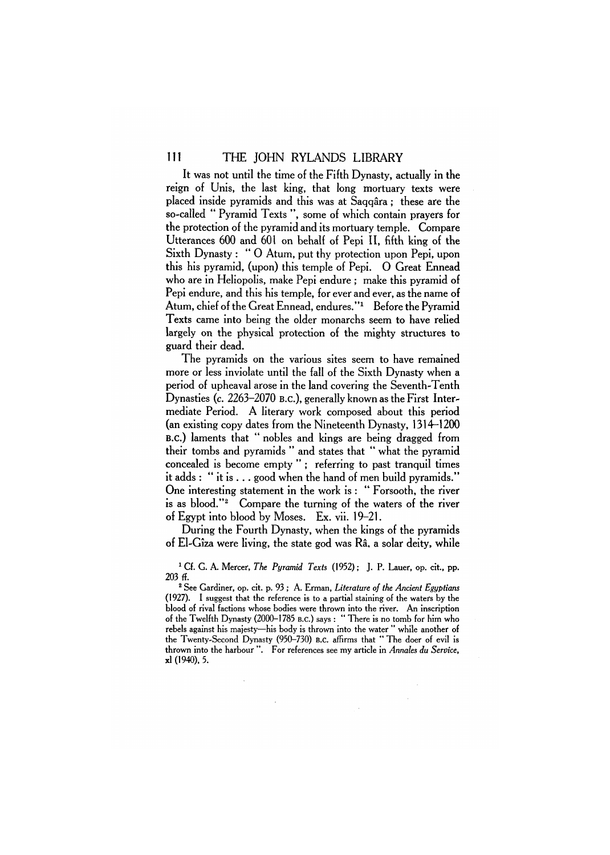It was not until the time of the Fifth Dynasty, actually in the reign of Unis, the last king, that long mortuary texts were placed inside pyramids and this was at Saqqara ; these are the so-called " Pyramid Texts ", some of which contain prayers for the protection of the pyramid and its mortuary temple. Compare Utterances 600 and 601 on behalf of Pepi II, fifth king of the Sixth Dynasty : " 0 Atum, put thy protection upon Pepi, upon this his pyramid, (upon) this temple of Pepi. 0 Great Ennead who are in Heliopolis, make Pepi endure ; make this pyramid of Pepi endure, and this his temple, for ever and ever, as the name of Atum, chief of the Great Ennead, endures."<sup>1</sup> Before the Pyramid Texts came into being the older monarchs seem to have relied largely on the physical protection of the mighty structures to guard their dead.

The pyramids on the various sites seem to have remained more or less inviolate until the fall of the Sixth Dynasty when a period of upheaval arose in the land covering the Seventh-Tenth Dynasties (c. 2263-2070 B.C.), generally known as the First Intermediate Period. A literary work composed about this period (an existing copy dates from the Nineteenth Dynasty, 1314-1200 B.C.) laments that " nobles and kings are being dragged from their tombs and pyramids " and states that " what the pyramid concealed is become empty "; referring to past tranquil times it adds : " it is . . . good when the hand of men build pyramids." One interesting statement in the work is : " Forsooth, the river is as blood."<sup>2</sup> Compare the turning of the waters of the river of Egypt into blood by Moses. Ex. vii. 19-21.

During the Fourth Dynasty, when the kings of the pyramids of El-Giza were living, the state god was Ra. a solar deity, while

<sup>1</sup> Cf. G. A. Mercer, *The Pyramid Texts* (1952); J. P. Lauer, op. cit., pp. 203 ff.

2 See Gardiner, op. cit. p. 93 ; A. Erman, *Literature of the Ancient Egyptians*  (1927). I suggest that the reference is to a partial staining of the waters by the blood of rival factions whose bodies were thrown into the river. An inscription of the Twelfth Dynasty (2000-1785 B.C.) says : " There is no tomb for him who rebels against his majesty—his body is thrown into the water " while another of the Twenty-Second Dynasty (950-730) B.C. affirms that " The doer of evil is thrown into the harbour ". For references see my article in *Annales du Service,*  xl (1940), 5.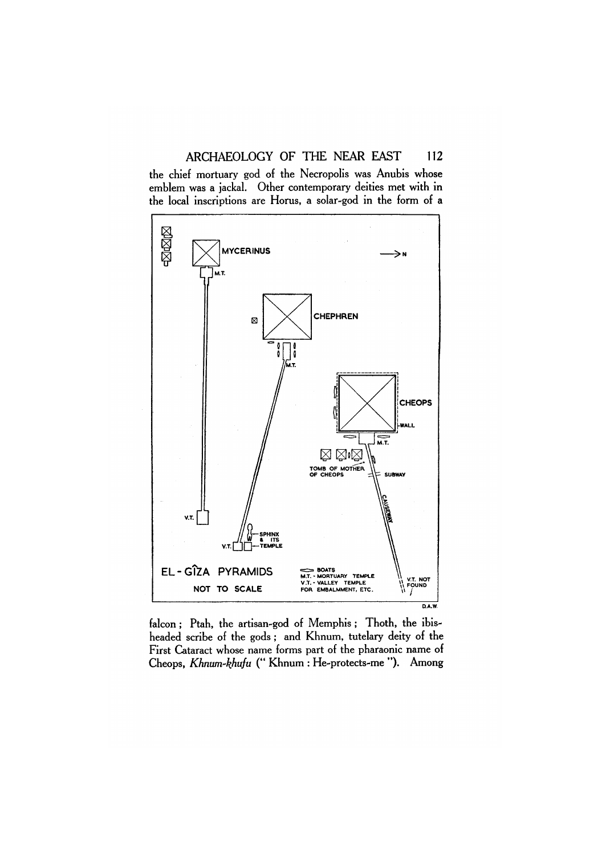## ARCHAEOLOGY OF THE NEAR EAST 112

the chief mortuary god of the Necropolis was Anubis whose emblem was a jackal. Other contemporary deities met with in the local inscriptions are Horus, a solar-god in the form of a



falcon ; Ptah, the artisan-god of Memphis ; Thoth, the ibisheaded scribe of the gods ; and Khnum, tutelary deity of the First Cataract whose name forms part of the pharaonic name of Cheops, *Khnum-khufu* (" Khnum : He-protects-me "). Among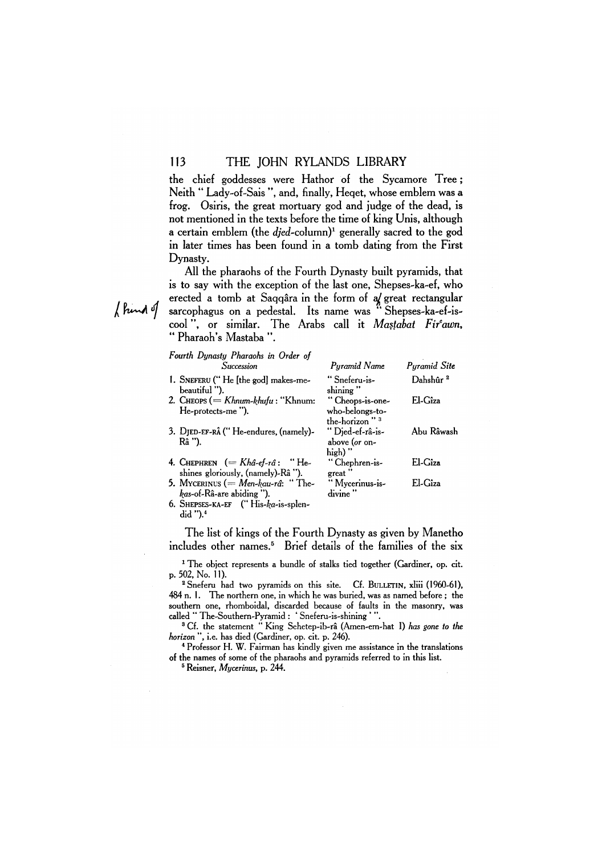the chief goddesses were Hathor of the Sycamore Tree ; Neith " Lady-of-Sais ", and, finally, Heqet, whose emblem was a frog. Osiris, the great mortuary god and judge of the dead, is not mentioned in the texts before the time of king Unis, although a certain emblem (the *djed-column)<sup>1</sup>* generally sacred to the god in later times has been found in a tomb dating from the First Dynasty.

All the pharaohs of the Fourth Dynasty built pyramids, that is to say with the exception of the last one, Shepses-ka-ef, who erected a tomb at Saqqara in the form of a great rectangular sarcophagus on a pedestal. Its name was " Shepses-ka-ef-iscool", or similar. The Arabs call it *Mastabat Fir<sup>c</sup> awn, "* Pharaoh's Mastaba ".

| Fourth Dynasty Pharaohs in Order of<br>Succession | Pyramid Name              | Pyramid Site         |
|---------------------------------------------------|---------------------------|----------------------|
|                                                   |                           |                      |
| 1. SNEFERU ("He [the god] makes-me-               | "Sneferu-is-              | Dahshûr <sup>2</sup> |
| beautiful ").                                     | shining"                  |                      |
| 2. CHEOPS (= $K$ hnum- $k$ hufu : "Khnum:         | "Cheops-is-one-           | El-Cîza              |
| He-protects-me").                                 | who-belongs-to-           |                      |
|                                                   | the-horizon" <sup>3</sup> |                      |
| 3. DJED-EF-RÂ ("He-endures, (namely)-             | "Djed-ef-râ-is-           | Abu Râwash           |
| Râ ").                                            | above (or on-             |                      |
|                                                   | high) ''                  |                      |
| 4. CHEPHREN $(= Khâ-ef-râ:$ "He-                  | "Chephren-is-             | El-Gîza              |
| shines gloriously, (namely)-Râ ").                | great "                   |                      |
| 5. MYCERINUS (= $Men$ - $kau$ -râ: "The-          | "Mycerinus-is-            | El-Gîza              |
|                                                   | divine                    |                      |
| kas-of-Râ-are abiding ").                         |                           |                      |
| $\ell$ Compared to $\ell$ $\ell$ <sup>1</sup>     |                           |                      |

6. SHEPSES-KA-EF  $('His-ka-is-splen$ did ").<sup>4</sup>

The list of kings of the Fourth Dynasty as given by Manetho includes other names.<sup>5</sup> Brief details of the families of the six

1 The object represents a bundle of stalks tied together (Gardiner, op. cit. p. 502, No. 11).

2 Sneferu had two pyramids on this site. Cf. BULLETIN, xliii (1960-61), 484 n. 1. The northern one, in which he was buried, was as named before ; the southern one, rhomboidal, discarded because of faults in the masonry, was called " The-Southern-Pyramid : ' Sneferu-is-shining ' ".

3 Cf. the statement " King Sehetep-ib-ra (Amen-em-hat I) *has gone to the horizon ",* i.e. has died (Gardiner, op. cit. p. 246).

4 Professor H. W. Fairman has kindly given me assistance in the translations of the names of some of the pharaohs and pyramids referred to in this list.

5 Reisner, *Mycerinus,* p. 244.

f kind of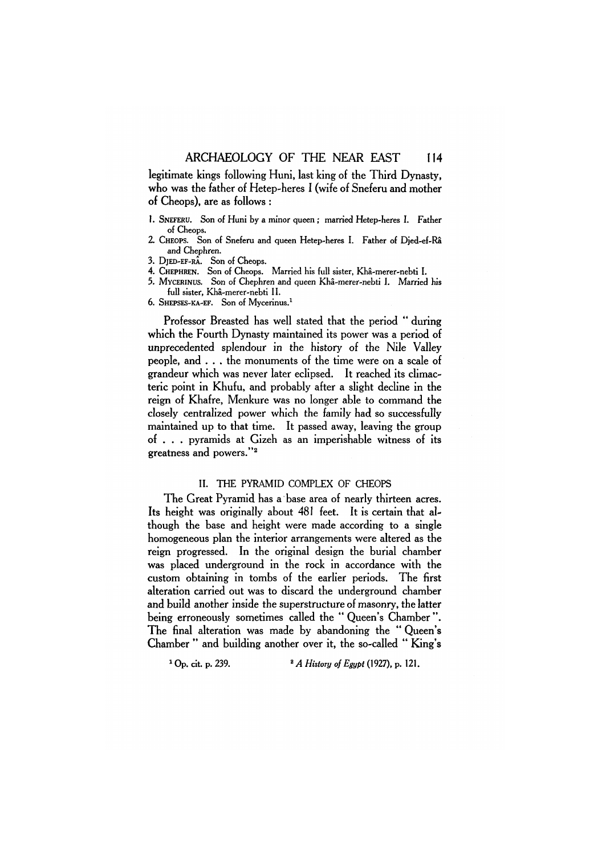legitimate kings following Huni, last king of the Third Dynasty, who was the father of Hetep-heres I (wife of Sneferu and mother of Cheops), are as follows :

- 1. SNEFERU. Son of Huni by a minor queen ; married Hetep-heres I. Father of Cheops.
- 2. CHEOPS. Son of Sneferu and queen Hetep-heres I. Father of Djed-ef-Ra and Chephren.
- 3. DjED-EF-RA. Son of Cheops.
- 4. CHEPHREN. Son of Cheops. Married his full sister, Kha-merer-nebti I.
- 5. MYCERINUS. Son of Chephren and queen Kha-merer-nebti I. Married his full sister, Kha-merer-nebti II.
- 6. SHEPSES-KA-EF. Son of Mycerinus.<sup>1</sup>

Professor Breasted has well stated that the period " during which the Fourth Dynasty maintained its power was a period of unprecedented splendour in the history of the Nile Valley people, and . . . the monuments of the time were on a scale of grandeur which was never later eclipsed. It reached its climacteric point in Khufu, and probably after a slight decline in the reign of Khafre, Menkure was no longer able to command the closely centralized power which the family had so successfully maintained up to that time. It passed away, leaving the group of . . . pyramids at Gizeh as an imperishable witness of its greatness and powers."<sup>2</sup>

## II. THE PYRAMID COMPLEX OF CHEOPS

The Great Pyramid has a base area of nearly thirteen acres. Its height was originally about 481 feet. It is certain that although the base and height were made according to a single homogeneous plan the interior arrangements were altered as the reign progressed. In the original design the burial chamber was placed underground in the rock in accordance with the custom obtaining in tombs of the earlier periods. The first alteration carried out was to discard the underground chamber and build another inside the superstructure of masonry, the latter being erroneously sometimes called the "Oueen's Chamber". The final alteration was made by abandoning the "Queen's Chamber " and building another over it, the so-called " King's

<sup>1</sup> Op. cit. p. 239. <sup>2</sup> *A History of Egypt* (1927), p. 121.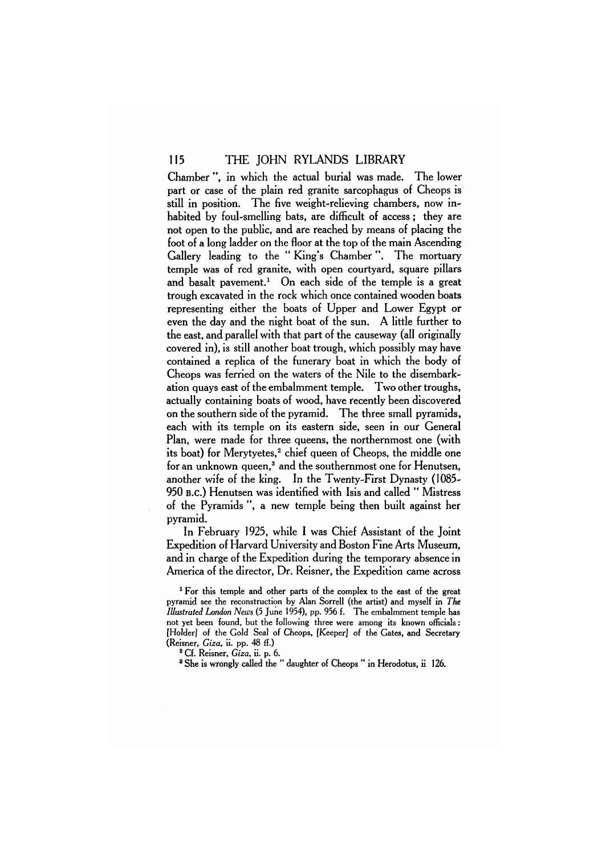Chamber ", in which the actual burial was made. The lower part or case of the plain red granite sarcophagus of Cheops is still in position. The five weight-relieving chambers, now inhabited by foul-smelling bats, are difficult of access: they are not open to the public, and are reached by means of placing the foot of a long ladder on the floor at the top of the main Ascending Gallery leading to the " King's Chamber". The mortuary temple was of red granite, with open courtyard, square pillars and basalt pavement.<sup>1</sup> On each side of the temple is a great trough excavated in the rock which once contained wooden boats representing either the boats of Upper and Lower Egypt or even the day and the night boat of the sun. A little further to the east, and parallel with that part of the causeway (all originally covered in), is still another boat trough, which possibly may have contained a replica of the funerary boat in which the body of Cheops was ferried on the waters of the Nile to the disembarkation quays east of the embalmment temple. Two other troughs, actually containing boats of wood, have recently been discovered on the southern side of the pyramid. The three small pyramids, each with its temple on its eastern side, seen in our General Plan, were made for three queens, the northernmost one (with its boat) for Merytyetes,<sup>2</sup> chief queen of Cheops, the middle one for an unknown queen,<sup>3</sup> and the southernmost one for Henutsen, another wife of the king. In the Twenty-First Dynasty (1085- 950 B.C.) Henutsen was identified with Isis and called " Mistress of the Pyramids ", a new temple being then built against her pyramid.

In February 1925, while I was Chief Assistant of the Joint Expedition of Harvard University and Boston Fine Arts Museum, and in charge of the Expedition during the temporary absence in America of the director, Dr. Reisner, the Expedition came across

<sup>1</sup> For this temple and other parts of the complex to the east of the great pyramid see the reconstruction by Alan Sorrell (the artist) and myself in *The Illustrated London News* (5 June 1954), pp. 956 f. The embalmment temple has not yet been found, but the following three were among its known officials: [Holder] of the Gold Seal of Cheops, [Keeper] of the Gates, and Secretary (Reisner, *Giza,* ii. pp. 48 ff.)

2 Cf. Reisner, *Giza,* ii. p. 6.

³ She is wrongly called the " daughter of Cheops " in Herodotus, ii 126.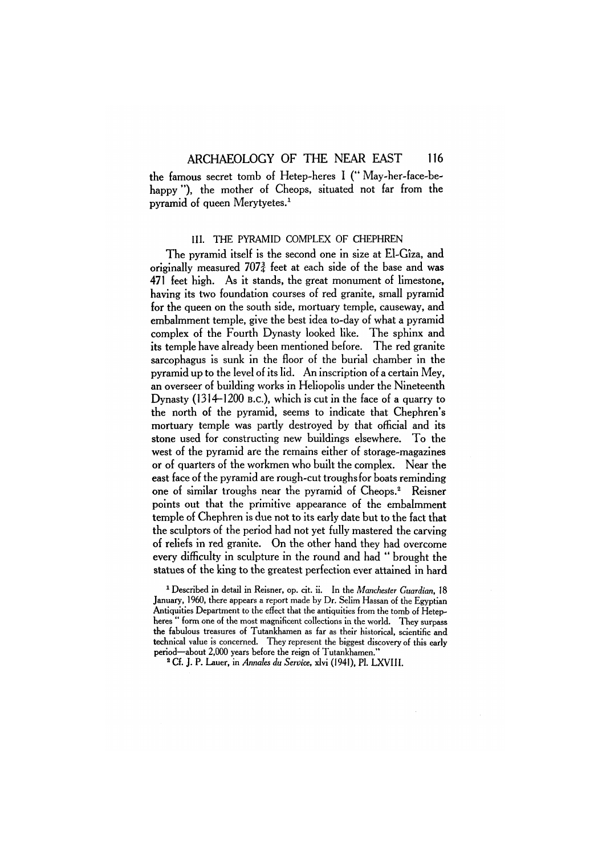the famous secret tomb of Hetep-heres I (" May-her-face-behappy "). the mother of Cheops, situated not far from the pyramid of queen Merytyetes.<sup>1</sup>

## III. THE PYRAMID COMPLEX OF CHEPHREN

The pyramid itself is the second one in size at El-Giza, and originally measured  $707<sub>2</sub><sup>3</sup>$  feet at each side of the base and was 471 feet high. As it stands, the great monument of limestone, having its two foundation courses of red granite, small pyramid for the queen on the south side, mortuary temple, causeway, and embalmment temple, give the best idea to-day of what a pyramid complex of the Fourth Dynasty looked like. The sphinx and its temple have already been mentioned before. The red granite sarcophagus is sunk in the floor of the burial chamber in the pyramid up to the level of its lid. An inscription of a certain Mey, an overseer of building works in Heliopolis under the Nineteenth Dynasty (1314-1200 B.C.), which is cut in the face of a quarry to the north of the pyramid, seems to indicate that Chephren's mortuary temple was partly destroyed by that official and its stone used for constructing new buildings elsewhere. To the west of the pyramid are the remains either of storage-magazines or of quarters of the workmen who built the complex. Near the east face of the pyramid are rough-cut troughs for boats reminding one of similar troughs near the pyramid of Cheops.<sup>2</sup> Reisner points out that the primitive appearance of the embalmment temple of Chephren is due not to its early date but to the fact that the sculptors of the period had not yet fully mastered the carving of reliefs in red granite. On the other hand they had overcome every difficulty in sculpture in the round and had " brought the statues of the king to the greatest perfection ever attained in hard

1 Described in detail in Reisner, op. cit. ii. In the *Manchester Guardian,* 18 January, 1960, there appears a report made by Dr. Selim Hassan of the Egyptian Antiquities Department to the effect that the antiquities from the tomb of Hetepheres " form one of the most magnificent collections in the world. They surpass the fabulous treasures of Tutankhamen as far as their historical, scientific and technical value is concerned. They represent the biggest discovery of this early period—about 2,000 years before the reign of Tutankhamen."

2 Cf. J. P. Lauer, in *Annates du Service,* xlvi (1941), Pl. LXVIII.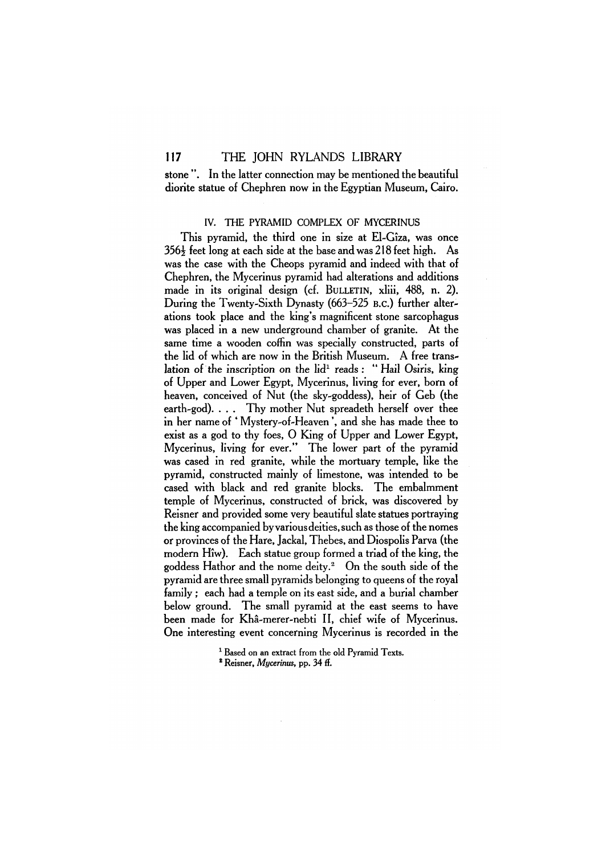stone ". In the latter connection may be mentioned the beautiful diorite statue of Chephren now in the Egyptian Museum, Cairo.

### IV. THE PYRAMID COMPLEX OF MYCERINUS

This pyramid, the third one in size at El-Giza, was once  $356\frac{1}{2}$  feet long at each side at the base and was 218 feet high. As was the case with the Cheops pyramid and indeed with that of Chephren, the Mycerinus pyramid had alterations and additions made in its original design (cf. BULLETIN, xliii, 488, n. 2). During the Twenty-Sixth Dynasty (663-525 B.C.) further alterations took place and the king's magnificent stone sarcophagus was placed in a new underground chamber of granite. At the same time a wooden coffin was specially constructed, parts of the lid of which are now in the British Museum. A free translation of the inscription on the  $\mathrm{lid}^1$  reads: "Hail Osiris, king of Upper and Lower Egypt, Mycerinus, living for ever, born of heaven, conceived of Nut (the sky-goddess), heir of Geb (the earth-god). . . . Thy mother Nut spreadeth herself over thee in her name of ' Mystery-of-Heaven ', and she has made thee to exist as a god to thy foes, 0 King of Upper and Lower Egypt, Mycerinus, living for ever." The lower part of the pyramid was cased in red granite, while the mortuary temple, like the pyramid, constructed mainly of limestone, was intended to be cased with black and red granite blocks. The embalmment temple of Mycerinus, constructed of brick, was discovered by Reisner and provided some very beautiful slate statues portraying the king accompanied by various deities, such as those of the nomes or provinces of the Hare, Jackal, Thebes, and Diospolis Parva (the modern Hiw). Each statue group formed a triad of the king, the goddess Hathor and the nome deity.<sup>2</sup> On the south side of the pyramid are three small pyramids belonging to queens of the royal family ; each had a temple on its east side, and a burial chamber below ground. The small pyramid at the east seems to have been made for Kha-merer-nebti II, chief wife of Mycerinus. One interesting event concerning Mycerinus is recorded in the

<sup>&</sup>lt;sup>1</sup> Based on an extract from the old Pyramid Texts.

<sup>2</sup> Reisner, *Mycerinus,* pp. 34 ff.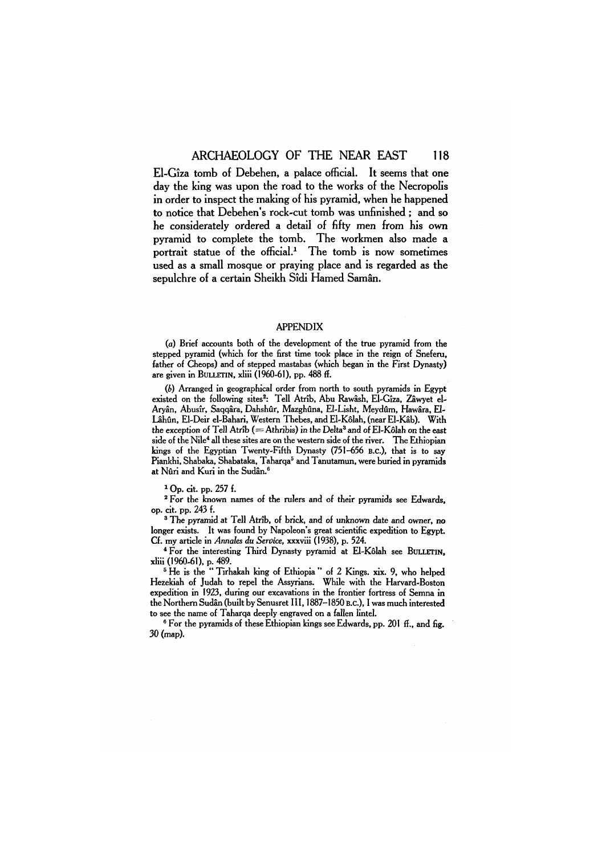El-Giza tomb of Debehen, a palace official. It seems that one day the king was upon the road to the works of the Necropolis in order to inspect the making of his pyramid, when he happened to notice that Debehen's rock-cut tomb was unfinished ; and so he considerately ordered a detail of fifty men from his own pyramid to complete the tomb. The workmen also made a portrait statue of the official.<sup>1</sup> The tomb is now sometimes used as a small mosque or praying place and is regarded as the sepulchre of a certain Sheikh Sidi Hamed Saman.

#### APPENDIX

(a) Brief accounts both of the development of the true pyramid from the stepped pyramid (which for the first time took place in the reign of Sneferu, father of Cheops) and of stepped mastabas (which began in the First Dynasty) are given in BULLETIN, xliii (1960-61), pp. 488 ff.

*(b)* Arranged in geographical order from north to south pyramids in Egypt existed on the following sites<sup>2</sup>: Tell Atrîb, Abu Rawâsh, El-Gîza, Zâwyet el-Aryân, Abusîr, Saqqâra, Dahshûr, Mazghûna, El-Lisht, Meydûm, Hawâra, El-Lâhûn, El-Deir el-Bahari, Western Thebes, and El-Kôlah, (near El-Kâb). With the exception of Tell Atrib (= Athribis) in the Delta<sup>3</sup> and of El-Kôlah on the east side of the Nile<sup>4</sup> all these sites are on the western side of the river. The Ethiopian kings of the Egyptian Twenty-Fifth Dynasty (751-656 B.C.), that is to say Piankhi, Shabaka, Shabataka, Taharqa<sup>5</sup> and Tanutamun, were buried in pyramids at Nûri and Kuri in the Sudân.<sup>6</sup>

1 Op. cit. pp. 257 f.

2 For the known names of the rulers and of their pyramids see Edwards, op. cit. pp. 243 f.

3 The pyramid at Tell Atrib, of brick, and of unknown date and owner, no longer exists. It was found by Napoleon's great scientific expedition to Egypt. Cf. my article in *Annales da Service,* xxxviii (1938), p. 524.

4 For the interesting Third Dynasty pyramid at El-Kolah see BULLETIN, xliii (1960-61), p. 489.

<sup>5</sup> He is the "Tirhakah king of Ethiopia " of 2 Kings. xix. 9, who helped Hezekiah of Judah to repel the Assyrians. While with the Harvard-Boston expedition in 1923, during our excavations in the frontier fortress of Semna in the Northern Sudan (built by Senusret 111,1887-1850 B.C.), I was much interested to see the name of Taharqa deeply engraved on a fallen lintel.

<sup>6</sup> For the pyramids of these Ethiopian kings see Edwards, pp. 201 ff., and fig. 30 (map).